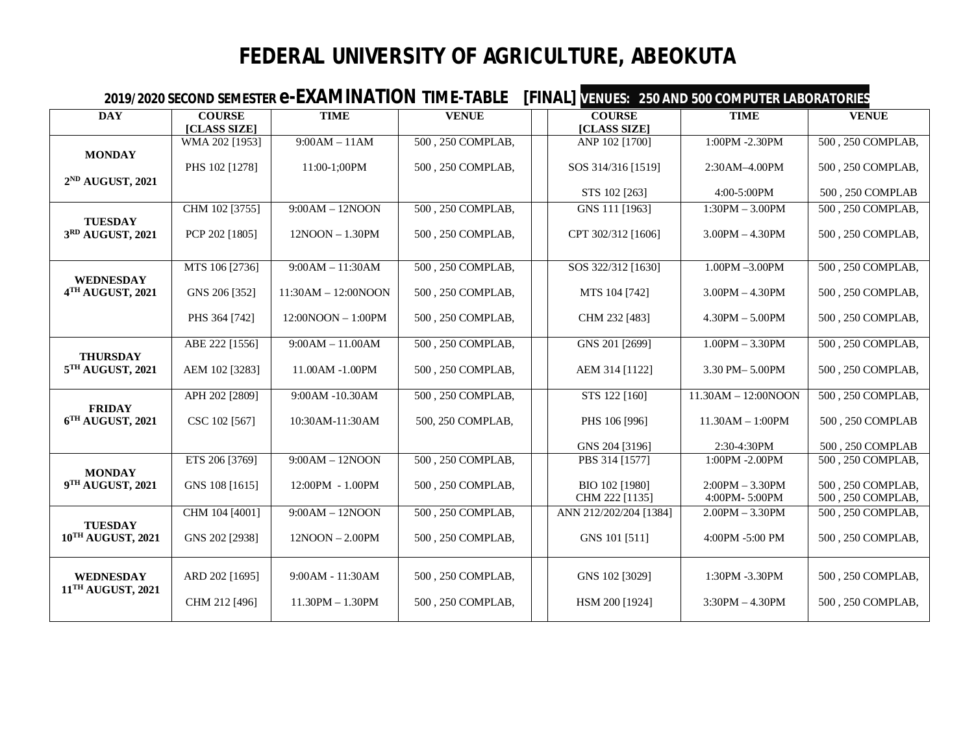## **FEDERAL UNIVERSITY OF AGRICULTURE, ABEOKUTA**

| 2019/2020 SECOND SEMESTER <b>e-EXAMINATION</b> TIME-TABLE |                               |                      |                   |  | <b>[FINAL] VENUES: 250 AND 500 COMPUTER LABORATORIES</b> |                                    |                                        |  |  |
|-----------------------------------------------------------|-------------------------------|----------------------|-------------------|--|----------------------------------------------------------|------------------------------------|----------------------------------------|--|--|
| <b>DAY</b>                                                | <b>COURSE</b><br>[CLASS SIZE] | <b>TIME</b>          | <b>VENUE</b>      |  | <b>COURSE</b><br>[CLASS SIZE]                            | <b>TIME</b>                        | <b>VENUE</b>                           |  |  |
| <b>MONDAY</b>                                             | WMA 202 [1953]                | $9:00AM - 11AM$      | 500, 250 COMPLAB, |  | ANP 102 [1700]                                           | 1:00PM -2.30PM                     | 500, 250 COMPLAB,                      |  |  |
| 2 <sup>ND</sup> AUGUST, 2021                              | PHS 102 [1278]                | 11:00-1;00PM         | 500, 250 COMPLAB, |  | SOS 314/316 [1519]                                       | 2:30AM-4.00PM                      | 500, 250 COMPLAB,                      |  |  |
|                                                           |                               |                      |                   |  | STS 102 [263]                                            | 4:00-5:00PM                        | 500, 250 COMPLAB                       |  |  |
|                                                           | CHM 102 [3755]                | $9:00AM - 12NOON$    | 500, 250 COMPLAB, |  | GNS 111 [1963]                                           | $1:30PM - 3.00PM$                  | $\overline{500}$ , 250 COMPLAB,        |  |  |
| <b>TUESDAY</b><br>3RD AUGUST, 2021                        | PCP 202 [1805]                | $12NOON - 1.30PM$    | 500, 250 COMPLAB, |  | CPT 302/312 [1606]                                       | $3.00$ PM $- 4.30$ PM              | 500, 250 COMPLAB,                      |  |  |
|                                                           | MTS 106 [2736]                | $9:00AM - 11:30AM$   | 500, 250 COMPLAB, |  | SOS 322/312 [1630]                                       | 1.00PM -3.00PM                     | 500, 250 COMPLAB,                      |  |  |
| <b>WEDNESDAY</b><br>4TH AUGUST, 2021                      | GNS 206 [352]                 | 11:30AM - 12:00NOON  | 500, 250 COMPLAB, |  | MTS 104 [742]                                            | $3.00$ PM $- 4.30$ PM              | 500, 250 COMPLAB,                      |  |  |
|                                                           | PHS 364 [742]                 | $12:00NOON - 1:00PM$ | 500, 250 COMPLAB, |  | CHM 232 [483]                                            | $4.30$ PM $- 5.00$ PM              | 500, 250 COMPLAB,                      |  |  |
|                                                           | ABE 222 [1556]                | $9:00AM - 11.00AM$   | 500, 250 COMPLAB, |  | GNS 201 [2699]                                           | $1.00PM - 3.30PM$                  | 500, 250 COMPLAB,                      |  |  |
| <b>THURSDAY</b><br>5TH AUGUST, 2021                       | AEM 102 [3283]                | 11.00AM -1.00PM      | 500, 250 COMPLAB, |  | AEM 314 [1122]                                           | 3.30 PM-5.00PM                     | 500, 250 COMPLAB,                      |  |  |
|                                                           | APH 202 [2809]                | 9:00AM -10.30AM      | 500, 250 COMPLAB, |  | STS 122 [160]                                            | $11.30AM - 12:00NOON$              | 500, 250 COMPLAB,                      |  |  |
| <b>FRIDAY</b><br>$6TH$ AUGUST, 2021                       | CSC 102 [567]                 | 10:30AM-11:30AM      | 500, 250 COMPLAB, |  | PHS 106 [996]                                            | $11.30AM - 1:00PM$                 | 500, 250 COMPLAB                       |  |  |
|                                                           |                               |                      |                   |  | GNS 204 [3196]                                           | 2:30-4:30PM                        | 500, 250 COMPLAB                       |  |  |
| <b>MONDAY</b>                                             | ETS 206 [3769]                | $9:00AM - 12NOON$    | 500, 250 COMPLAB, |  | PBS 314 [1577]                                           | 1:00PM -2.00PM                     | 500, 250 COMPLAB,                      |  |  |
| 9TH AUGUST, 2021                                          | GNS 108 [1615]                | 12:00PM - 1.00PM     | 500, 250 COMPLAB, |  | BIO 102 [1980]<br>CHM 222 [1135]                         | $2:00PM - 3.30PM$<br>4:00PM-5:00PM | 500, 250 COMPLAB,<br>500, 250 COMPLAB, |  |  |
|                                                           | CHM 104 [4001]                | $9:00AM - 12NOON$    | 500, 250 COMPLAB, |  | ANN 212/202/204 [1384]                                   | $2.00PM - 3.30PM$                  | 500, 250 COMPLAB,                      |  |  |
| <b>TUESDAY</b><br>10TH AUGUST, 2021                       | GNS 202 [2938]                | $12NOON - 2.00PM$    | 500, 250 COMPLAB, |  | GNS 101 [511]                                            | 4:00PM -5:00 PM                    | 500, 250 COMPLAB,                      |  |  |
| <b>WEDNESDAY</b><br>11TH AUGUST, 2021                     | ARD 202 [1695]                | 9:00 AM - 11:30 AM   | 500, 250 COMPLAB, |  | GNS 102 [3029]                                           | 1:30PM -3.30PM                     | 500, 250 COMPLAB,                      |  |  |
|                                                           | CHM 212 [496]                 | $11.30PM - 1.30PM$   | 500, 250 COMPLAB, |  | HSM 200 [1924]                                           | $3:30PM - 4.30PM$                  | 500, 250 COMPLAB,                      |  |  |